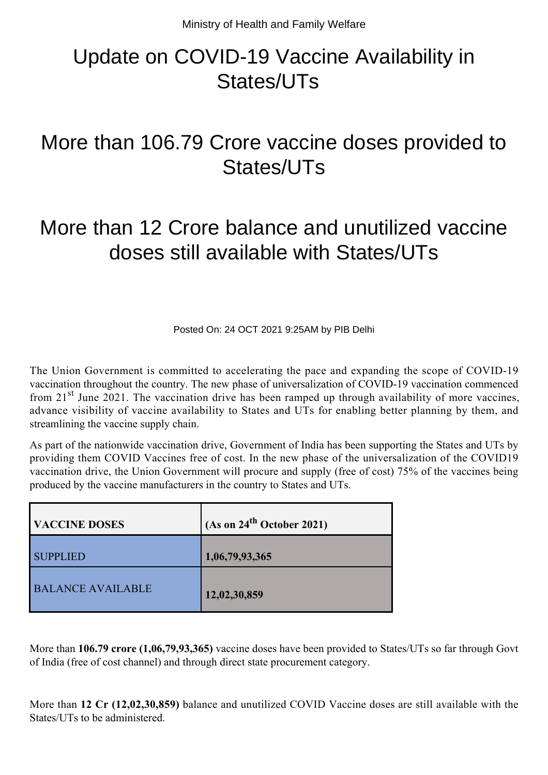## Update on COVID-19 Vaccine Availability in States/UTs

## More than 106.79 Crore vaccine doses provided to States/UTs

## More than 12 Crore balance and unutilized vaccine doses still available with States/UTs

Posted On: 24 OCT 2021 9:25AM by PIB Delhi

The Union Government is committed to accelerating the pace and expanding the scope of COVID-19 vaccination throughout the country. The new phase of universalization of COVID-19 vaccination commenced from  $21<sup>st</sup>$  June 2021. The vaccination drive has been ramped up through availability of more vaccines, advance visibility of vaccine availability to States and UTs for enabling better planning by them, and streamlining the vaccine supply chain.

As part of the nationwide vaccination drive, Government of India has been supporting the States and UTs by providing them COVID Vaccines free of cost. In the new phase of the universalization of the COVID19 vaccination drive, the Union Government will procure and supply (free of cost) 75% of the vaccines being produced by the vaccine manufacturers in the country to States and UTs.

| <b>VACCINE DOSES</b>     | $(As \text{ on } 24^{\text{th}} \text{ October } 2021)$ |
|--------------------------|---------------------------------------------------------|
| <b>SUPPLIED</b>          | 1,06,79,93,365                                          |
| <b>BALANCE AVAILABLE</b> | 12,02,30,859                                            |

More than **106.79 crore (1,06,79,93,365)** vaccine doses have been provided to States/UTs so far through Govt of India (free of cost channel) and through direct state procurement category.

More than **12 Cr (12,02,30,859)** balance and unutilized COVID Vaccine doses are still available with the States/UTs to be administered.